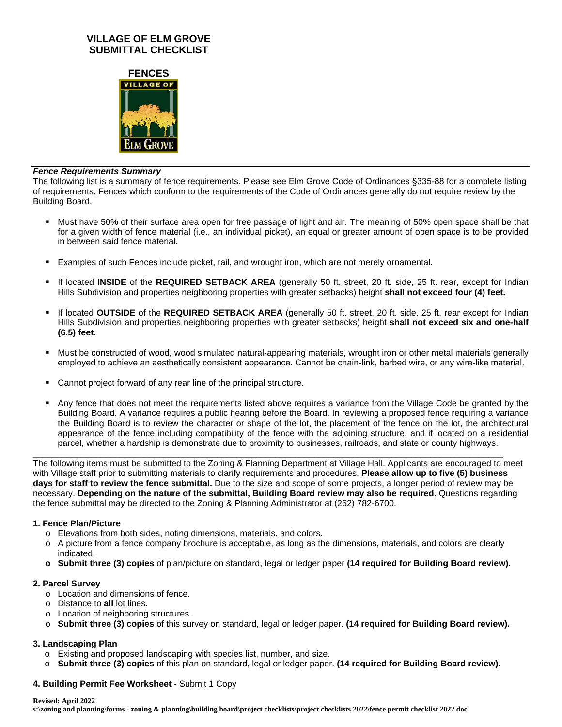# **VILLAGE OF ELM GROVE SUBMITTAL CHECKLIST**



#### *Fence Requirements Summary*

The following list is a summary of fence requirements. Please see Elm Grove Code of Ordinances §335-88 for a complete listing of requirements. Fences which conform to the requirements of the Code of Ordinances generally do not require review by the Building Board.

- Must have 50% of their surface area open for free passage of light and air. The meaning of 50% open space shall be that for a given width of fence material (i.e., an individual picket), an equal or greater amount of open space is to be provided in between said fence material.
- Examples of such Fences include picket, rail, and wrought iron, which are not merely ornamental.
- If located **INSIDE** of the **REQUIRED SETBACK AREA** (generally 50 ft. street, 20 ft. side, 25 ft. rear, except for Indian Hills Subdivision and properties neighboring properties with greater setbacks) height **shall not exceed four (4) feet.**
- If located **OUTSIDE** of the **REQUIRED SETBACK AREA** (generally 50 ft. street, 20 ft. side, 25 ft. rear except for Indian Hills Subdivision and properties neighboring properties with greater setbacks) height **shall not exceed six and one-half (6.5) feet.**
- Must be constructed of wood, wood simulated natural-appearing materials, wrought iron or other metal materials generally employed to achieve an aesthetically consistent appearance. Cannot be chain-link, barbed wire, or any wire-like material.
- Cannot project forward of any rear line of the principal structure.
- Any fence that does not meet the requirements listed above requires a variance from the Village Code be granted by the Building Board. A variance requires a public hearing before the Board. In reviewing a proposed fence requiring a variance the Building Board is to review the character or shape of the lot, the placement of the fence on the lot, the architectural appearance of the fence including compatibility of the fence with the adjoining structure, and if located on a residential parcel, whether a hardship is demonstrate due to proximity to businesses, railroads, and state or county highways.

The following items must be submitted to the Zoning & Planning Department at Village Hall. Applicants are encouraged to meet with Village staff prior to submitting materials to clarify requirements and procedures. **Please allow up to five (5) business days for staff to review the fence submittal.** Due to the size and scope of some projects, a longer period of review may be necessary. **Depending on the nature of the submittal, Building Board review may also be required**. Questions regarding the fence submittal may be directed to the Zoning & Planning Administrator at (262) 782-6700.

\_\_\_\_\_\_\_\_\_\_\_\_\_\_\_\_\_\_\_\_\_\_\_\_\_\_\_\_\_\_\_\_\_\_\_\_\_\_\_\_\_\_\_\_\_\_\_\_\_\_\_\_\_\_\_\_\_\_\_\_\_\_\_\_\_\_\_\_\_\_\_\_\_\_\_\_\_\_\_\_\_\_\_\_\_\_\_\_\_\_\_\_\_\_\_\_\_

#### **1. Fence Plan/Picture**

- o Elevations from both sides, noting dimensions, materials, and colors.
- o A picture from a fence company brochure is acceptable, as long as the dimensions, materials, and colors are clearly indicated.
- **o Submit three (3) copies** of plan/picture on standard, legal or ledger paper **(14 required for Building Board review).**

#### **2. Parcel Survey**

- o Location and dimensions of fence.
- o Distance to **all** lot lines.
- o Location of neighboring structures.
- o **Submit three (3) copies** of this survey on standard, legal or ledger paper. **(14 required for Building Board review).**

#### **3. Landscaping Plan**

- o Existing and proposed landscaping with species list, number, and size.
- o **Submit three (3) copies** of this plan on standard, legal or ledger paper. **(14 required for Building Board review).**

#### **4. Building Permit Fee Worksheet** - Submit 1 Copy

#### **Revised: April 2022**

**s:\zoning and planning\forms - zoning & planning\building board\project checklists\project checklists 2022\fence permit checklist 2022.doc**